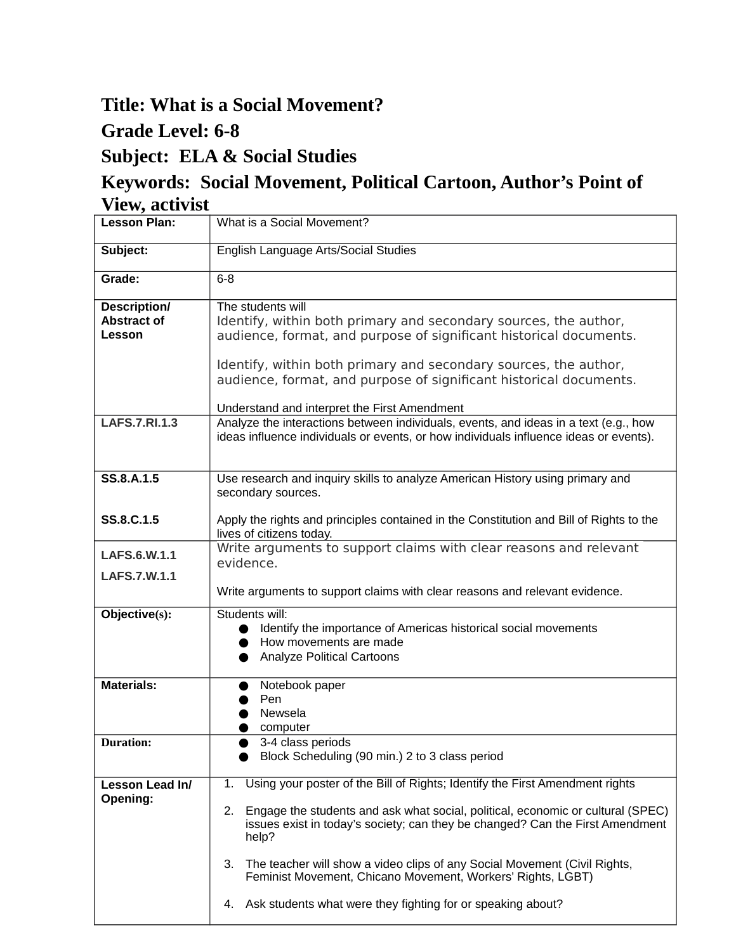## **Title: What is a Social Movement?**

## **Grade Level: 6-8**

## **Subject: ELA & Social Studies**

## **Keywords: Social Movement, Political Cartoon, Author's Point of View, activist**

| <b>Lesson Plan:</b>                                 | What is a Social Movement?                                                                                                                                                                                                                                                                                                                                                                                                                                                                   |
|-----------------------------------------------------|----------------------------------------------------------------------------------------------------------------------------------------------------------------------------------------------------------------------------------------------------------------------------------------------------------------------------------------------------------------------------------------------------------------------------------------------------------------------------------------------|
| Subject:                                            | English Language Arts/Social Studies                                                                                                                                                                                                                                                                                                                                                                                                                                                         |
| Grade:                                              | $6-8$                                                                                                                                                                                                                                                                                                                                                                                                                                                                                        |
| <b>Description/</b><br><b>Abstract of</b><br>Lesson | The students will<br>Identify, within both primary and secondary sources, the author,<br>audience, format, and purpose of significant historical documents.<br>Identify, within both primary and secondary sources, the author,<br>audience, format, and purpose of significant historical documents.<br>Understand and interpret the First Amendment                                                                                                                                        |
| <b>LAFS.7.RI.1.3</b>                                | Analyze the interactions between individuals, events, and ideas in a text (e.g., how<br>ideas influence individuals or events, or how individuals influence ideas or events).                                                                                                                                                                                                                                                                                                                |
| SS.8.A.1.5                                          | Use research and inquiry skills to analyze American History using primary and<br>secondary sources.                                                                                                                                                                                                                                                                                                                                                                                          |
| SS.8.C.1.5                                          | Apply the rights and principles contained in the Constitution and Bill of Rights to the<br>lives of citizens today.                                                                                                                                                                                                                                                                                                                                                                          |
| LAFS.6.W.1.1                                        | Write arguments to support claims with clear reasons and relevant<br>evidence.                                                                                                                                                                                                                                                                                                                                                                                                               |
| LAFS.7.W.1.1                                        | Write arguments to support claims with clear reasons and relevant evidence.                                                                                                                                                                                                                                                                                                                                                                                                                  |
| Objective(s):                                       | Students will:<br>Identify the importance of Americas historical social movements<br>How movements are made<br><b>Analyze Political Cartoons</b>                                                                                                                                                                                                                                                                                                                                             |
| <b>Materials:</b>                                   | Notebook paper<br>Pen<br>Newsela<br>computer                                                                                                                                                                                                                                                                                                                                                                                                                                                 |
| <b>Duration:</b>                                    | 3-4 class periods<br>Block Scheduling (90 min.) 2 to 3 class period                                                                                                                                                                                                                                                                                                                                                                                                                          |
| Lesson Lead In/<br>Opening:                         | Using your poster of the Bill of Rights; Identify the First Amendment rights<br>1.<br>Engage the students and ask what social, political, economic or cultural (SPEC)<br>2.<br>issues exist in today's society; can they be changed? Can the First Amendment<br>help?<br>The teacher will show a video clips of any Social Movement (Civil Rights,<br>З.<br>Feminist Movement, Chicano Movement, Workers' Rights, LGBT)<br>Ask students what were they fighting for or speaking about?<br>4. |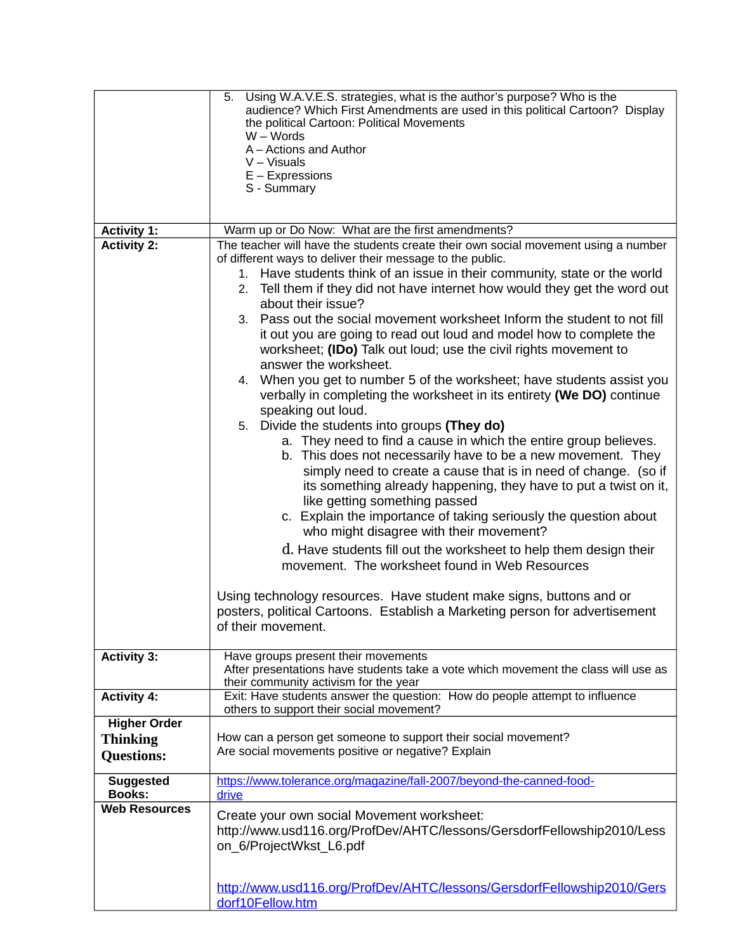| <b>Activity 1:</b><br><b>Activity 2:</b> | Using W.A.V.E.S. strategies, what is the author's purpose? Who is the<br>5.<br>audience? Which First Amendments are used in this political Cartoon? Display<br>the political Cartoon: Political Movements<br>$W - Words$<br>A - Actions and Author<br>$V - V$ isuals<br>$E -$ Expressions<br>S - Summary<br>Warm up or Do Now: What are the first amendments?<br>The teacher will have the students create their own social movement using a number<br>of different ways to deliver their message to the public.<br>1. Have students think of an issue in their community, state or the world<br>2. Tell them if they did not have internet how would they get the word out<br>about their issue?<br>3. Pass out the social movement worksheet Inform the student to not fill<br>it out you are going to read out loud and model how to complete the<br>worksheet; (IDo) Talk out loud; use the civil rights movement to<br>answer the worksheet.<br>4. When you get to number 5 of the worksheet; have students assist you<br>verbally in completing the worksheet in its entirety (We DO) continue<br>speaking out loud.<br>5. Divide the students into groups (They do)<br>a. They need to find a cause in which the entire group believes.<br>b. This does not necessarily have to be a new movement. They<br>simply need to create a cause that is in need of change. (so if<br>its something already happening, they have to put a twist on it,<br>like getting something passed<br>c. Explain the importance of taking seriously the question about<br>who might disagree with their movement?<br>d. Have students fill out the worksheet to help them design their<br>movement. The worksheet found in Web Resources<br>Using technology resources. Have student make signs, buttons and or<br>posters, political Cartoons. Establish a Marketing person for advertisement |
|------------------------------------------|------------------------------------------------------------------------------------------------------------------------------------------------------------------------------------------------------------------------------------------------------------------------------------------------------------------------------------------------------------------------------------------------------------------------------------------------------------------------------------------------------------------------------------------------------------------------------------------------------------------------------------------------------------------------------------------------------------------------------------------------------------------------------------------------------------------------------------------------------------------------------------------------------------------------------------------------------------------------------------------------------------------------------------------------------------------------------------------------------------------------------------------------------------------------------------------------------------------------------------------------------------------------------------------------------------------------------------------------------------------------------------------------------------------------------------------------------------------------------------------------------------------------------------------------------------------------------------------------------------------------------------------------------------------------------------------------------------------------------------------------------------------------------------------------------------------------------------------------------------------------------------|
|                                          | of their movement.                                                                                                                                                                                                                                                                                                                                                                                                                                                                                                                                                                                                                                                                                                                                                                                                                                                                                                                                                                                                                                                                                                                                                                                                                                                                                                                                                                                                                                                                                                                                                                                                                                                                                                                                                                                                                                                                 |
| <b>Activity 3:</b>                       | Have groups present their movements<br>After presentations have students take a vote which movement the class will use as<br>their community activism for the year                                                                                                                                                                                                                                                                                                                                                                                                                                                                                                                                                                                                                                                                                                                                                                                                                                                                                                                                                                                                                                                                                                                                                                                                                                                                                                                                                                                                                                                                                                                                                                                                                                                                                                                 |
| <b>Activity 4:</b>                       | Exit: Have students answer the question: How do people attempt to influence<br>others to support their social movement?                                                                                                                                                                                                                                                                                                                                                                                                                                                                                                                                                                                                                                                                                                                                                                                                                                                                                                                                                                                                                                                                                                                                                                                                                                                                                                                                                                                                                                                                                                                                                                                                                                                                                                                                                            |
| <b>Higher Order</b>                      |                                                                                                                                                                                                                                                                                                                                                                                                                                                                                                                                                                                                                                                                                                                                                                                                                                                                                                                                                                                                                                                                                                                                                                                                                                                                                                                                                                                                                                                                                                                                                                                                                                                                                                                                                                                                                                                                                    |
| <b>Thinking</b>                          | How can a person get someone to support their social movement?<br>Are social movements positive or negative? Explain                                                                                                                                                                                                                                                                                                                                                                                                                                                                                                                                                                                                                                                                                                                                                                                                                                                                                                                                                                                                                                                                                                                                                                                                                                                                                                                                                                                                                                                                                                                                                                                                                                                                                                                                                               |
| <b>Questions:</b>                        |                                                                                                                                                                                                                                                                                                                                                                                                                                                                                                                                                                                                                                                                                                                                                                                                                                                                                                                                                                                                                                                                                                                                                                                                                                                                                                                                                                                                                                                                                                                                                                                                                                                                                                                                                                                                                                                                                    |
| <b>Suggested</b><br><b>Books:</b>        | https://www.tolerance.org/magazine/fall-2007/beyond-the-canned-food-<br>drive                                                                                                                                                                                                                                                                                                                                                                                                                                                                                                                                                                                                                                                                                                                                                                                                                                                                                                                                                                                                                                                                                                                                                                                                                                                                                                                                                                                                                                                                                                                                                                                                                                                                                                                                                                                                      |
| <b>Web Resources</b>                     | Create your own social Movement worksheet:<br>http://www.usd116.org/ProfDev/AHTC/lessons/GersdorfFellowship2010/Less<br>on 6/ProjectWkst L6.pdf                                                                                                                                                                                                                                                                                                                                                                                                                                                                                                                                                                                                                                                                                                                                                                                                                                                                                                                                                                                                                                                                                                                                                                                                                                                                                                                                                                                                                                                                                                                                                                                                                                                                                                                                    |
|                                          | http://www.usd116.org/ProfDev/AHTC/lessons/GersdorfFellowship2010/Gers<br>dorf10Fellow.htm                                                                                                                                                                                                                                                                                                                                                                                                                                                                                                                                                                                                                                                                                                                                                                                                                                                                                                                                                                                                                                                                                                                                                                                                                                                                                                                                                                                                                                                                                                                                                                                                                                                                                                                                                                                         |